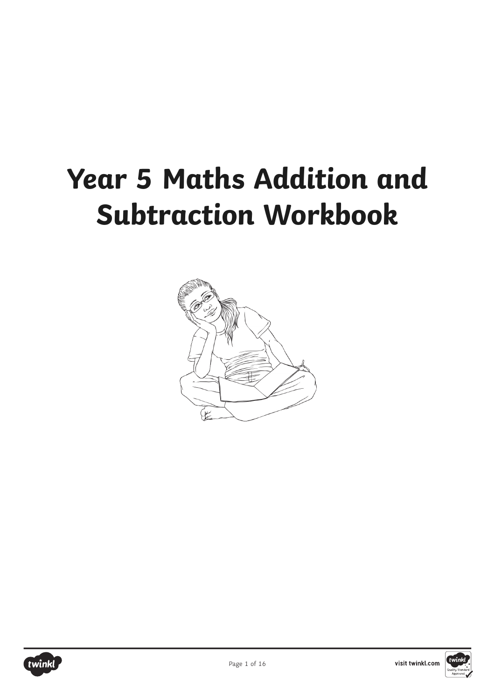# **Year 5 Maths Addition and Subtraction Workbook**





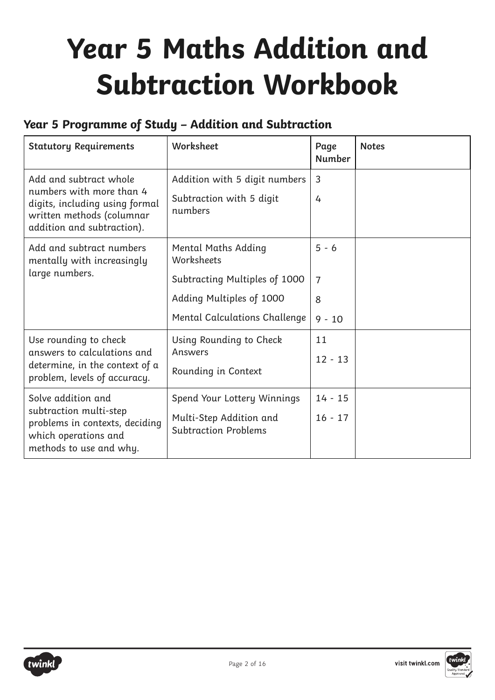# **Year 5 Maths Addition and Subtraction Workbook**

### **Year 5 Programme of Study – Addition and Subtraction**

| <b>Statutory Requirements</b>                                                                                                                   | Worksheet                                                                                                                              | Page<br><b>Number</b>                      | <b>Notes</b> |
|-------------------------------------------------------------------------------------------------------------------------------------------------|----------------------------------------------------------------------------------------------------------------------------------------|--------------------------------------------|--------------|
| Add and subtract whole<br>numbers with more than 4<br>digits, including using formal<br>written methods (columnar<br>addition and subtraction). | Addition with 5 digit numbers<br>Subtraction with 5 digit<br>numbers                                                                   | 3<br>4                                     |              |
| Add and subtract numbers<br>mentally with increasingly<br>large numbers.                                                                        | <b>Mental Maths Adding</b><br>Worksheets<br>Subtracting Multiples of 1000<br>Adding Multiples of 1000<br>Mental Calculations Challenge | $5 - 6$<br>$\overline{7}$<br>8<br>$9 - 10$ |              |
| Use rounding to check<br>answers to calculations and<br>determine, in the context of a<br>problem, levels of accuracy.                          | Using Rounding to Check<br>Answers<br>Rounding in Context                                                                              | 11<br>$12 - 13$                            |              |
| Solve addition and<br>subtraction multi-step<br>problems in contexts, deciding<br>which operations and<br>methods to use and why.               | Spend Your Lottery Winnings<br>Multi-Step Addition and<br><b>Subtraction Problems</b>                                                  | $14 - 15$<br>$16 - 17$                     |              |



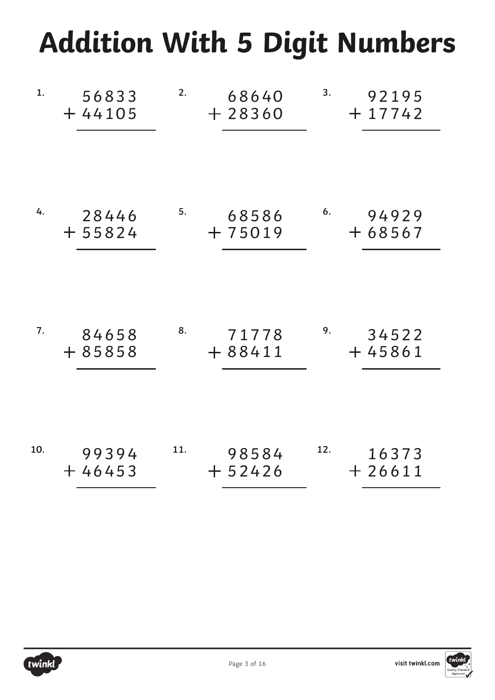# **Addition With 5 Digit Numbers**

| 1.  | 56833<br>$+44105$ | 2.  | 68640<br>$+28360$ | 3.  | 92195<br>$+17742$ |
|-----|-------------------|-----|-------------------|-----|-------------------|
|     |                   |     |                   |     |                   |
| 4.  | 28446<br>$+55824$ | 5.  | 68586<br>$+75019$ | 6.  | 94929<br>$+68567$ |
| 7.  | 84658<br>$+85858$ | 8.  | 71778<br>$+88411$ | 9.  | 34522<br>$+45861$ |
| 10. | 99394<br>$+46453$ | 11. | 98584<br>$+52426$ | 12. | 16373<br>$+26611$ |



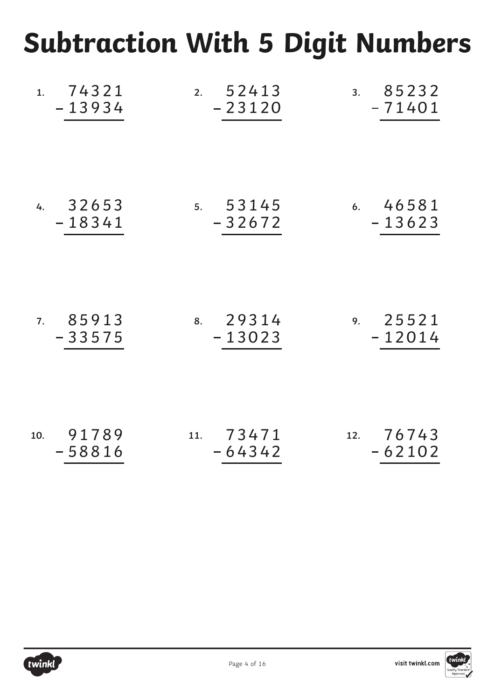## **Subtraction With 5 Digit Numbers**

| 1.74321                  | 2. $52413$                   | 3. 85232                |
|--------------------------|------------------------------|-------------------------|
| $-13934$                 | $-23120$                     | -71401                  |
| 4. $32653$               | 5. 53145                     | 6.46581                 |
| $-18341$                 | $-32672$                     | $-13623$                |
| 85913<br>7.<br>$-33575$  | $8. \quad 29314$<br>$-13023$ | 9. 25521<br>$-12014$    |
| 91789<br>10.<br>$-58816$ | 11. 73471<br>$-64342$        | 12. $76743$<br>$-62102$ |



visit twinkl.com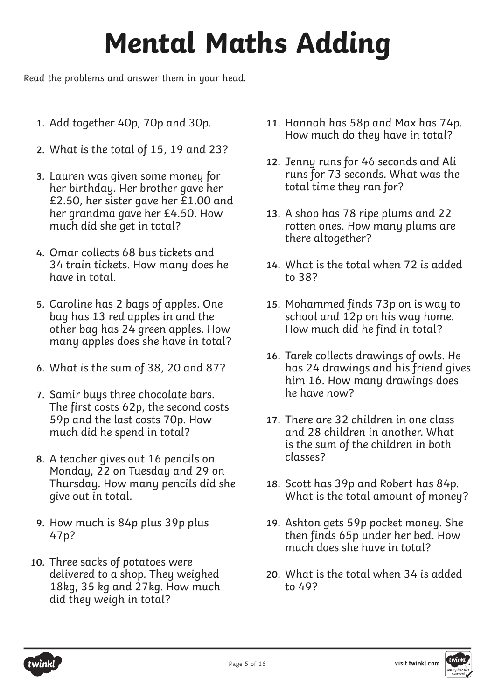# **Mental Maths Adding**

Read the problems and answer them in your head.

- **1.** Add together 40p, 70p and 30p.
- **2.** What is the total of 15, 19 and 23?
- **3.**  Lauren was given some money for her birthday. Her brother gave her £2.50, her sister gave her £1.00 and her grandma gave her £4.50. How much did she get in total?
- **4.**  Omar collects 68 bus tickets and 34 train tickets. How many does he have in total.
- **5.** Caroline has 2 bags of apples. One bag has 13 red apples in and the other bag has 24 green apples. How many apples does she have in total?
- **6.** What is the sum of 38, 20 and 87?
- **7.**  Samir buys three chocolate bars. The first costs 62p, the second costs 59p and the last costs 70p. How much did he spend in total?
- **8.** A teacher gives out 16 pencils on Monday, 22 on Tuesday and 29 on Thursday. How many pencils did she give out in total.
- **9.** How much is 84p plus 39p plus 47p?
- **10.**  Three sacks of potatoes were delivered to a shop. They weighed 18kg, 35 kg and 27kg. How much did they weigh in total?
- **11.** Hannah has 58p and Max has 74p. How much do they have in total?
- **12.**  Jenny runs for 46 seconds and Ali runs for 73 seconds. What was the total time they ran for?
- **13.** A shop has 78 ripe plums and 22 rotten ones. How many plums are there altogether?
- **14.** What is the total when 72 is added to 38?
- **15.** Mohammed finds 73p on is way to school and 12p on his way home. How much did he find in total?
- **16.**  Tarek collects drawings of owls. He has 24 drawings and his friend gives him 16. How many drawings does he have now?
- 17. There are 32 children in one class and 28 children in another. What is the sum of the children in both classes?
- **18.**  Scott has 39p and Robert has 84p. What is the total amount of money?
- **19.** Ashton gets 59p pocket money. She then finds 65p under her bed. How much does she have in total?
- **20.** What is the total when 34 is added to 49?



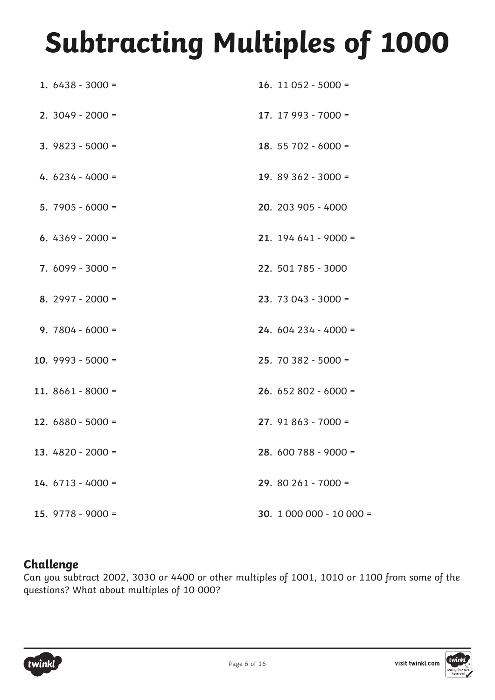# **Subtracting Multiples of 1000**

| 1. $6438 - 3000 =$  | 16. 11 052 - 5000 =     |
|---------------------|-------------------------|
| $2.3049 - 2000 =$   | 17. $17993 - 7000 =$    |
| $3.9823 - 5000 =$   | 18. 55 702 - 6000 =     |
| 4. $6234 - 4000 =$  | 19. 89 362 - 3000 =     |
| 5. $7905 - 6000 =$  | 20. 203 905 - 4000      |
| 6. $4369 - 2000 =$  | $21.194641 - 9000 =$    |
| $7.6099 - 3000 =$   | 22. 501 785 - 3000      |
| 8. $2997 - 2000 =$  | $23.73043 - 3000 =$     |
| $9.7804 - 6000 =$   | $24.604234 - 4000 =$    |
| 10. $9993 - 5000 =$ | $25.70382 - 5000 =$     |
| 11. $8661 - 8000 =$ | $26.652802 - 6000 =$    |
| 12. $6880 - 5000 =$ | $27.91863 - 7000 =$     |
| 13. $4820 - 2000 =$ | $28.600788 - 9000 =$    |
| $14.6713 - 4000 =$  | $29.80261 - 7000 =$     |
| 15. $9778 - 9000 =$ | 30. $1000000 - 10000 =$ |

### **Challenge**

Can you subtract 2002, 3030 or 4400 or other multiples of 1001, 1010 or 1100 from some of the questions? What about multiples of 10 000?

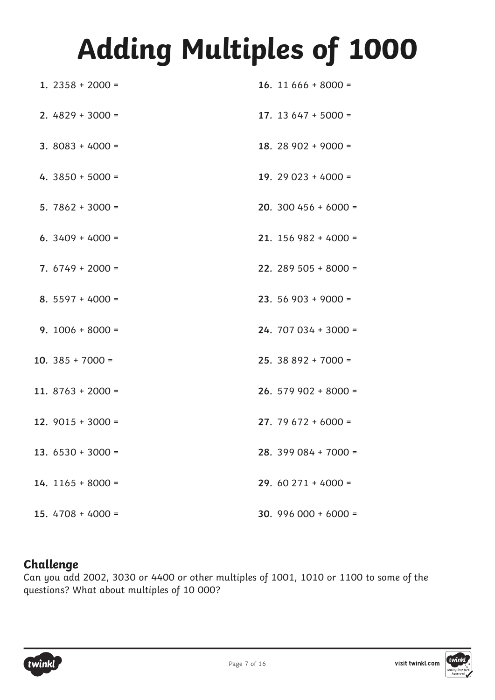# **Adding Multiples of 1000**

| 1. $2358 + 2000 =$  | 16. 11 $666 + 8000 =$  |
|---------------------|------------------------|
| 2. $4829 + 3000 =$  | 17. 13 $647 + 5000 =$  |
| $3.8083 + 4000 =$   | 18. 28 902 + 9000 =    |
| 4. $3850 + 5000 =$  | 19. 29 023 + 4000 =    |
| $5.7862 + 3000 =$   | 20. 300 456 + 6000 =   |
| 6. $3409 + 4000 =$  | $21. 156 982 + 4000 =$ |
| $7.6749 + 2000 =$   | 22. 289 505 + 8000 =   |
| 8. $5597 + 4000 =$  | 23. 56 903 + 9000 =    |
| $9.1006 + 8000 =$   | $24.707034 + 3000 =$   |
| 10. $385 + 7000 =$  | $25.38892 + 7000 =$    |
| 11. $8763 + 2000 =$ | $26.579902 + 8000 =$   |
| 12. $9015 + 3000 =$ | 27. 79 672 + 6000 =    |
| 13. $6530 + 3000 =$ | $28.399084 + 7000 =$   |
| 14. $1165 + 8000 =$ | $29.60271 + 4000 =$    |
| 15. $4708 + 4000 =$ | 30. 996 000 + 6000 =   |

### **Challenge**

Can you add 2002, 3030 or 4400 or other multiples of 1001, 1010 or 1100 to some of the questions? What about multiples of 10 000?



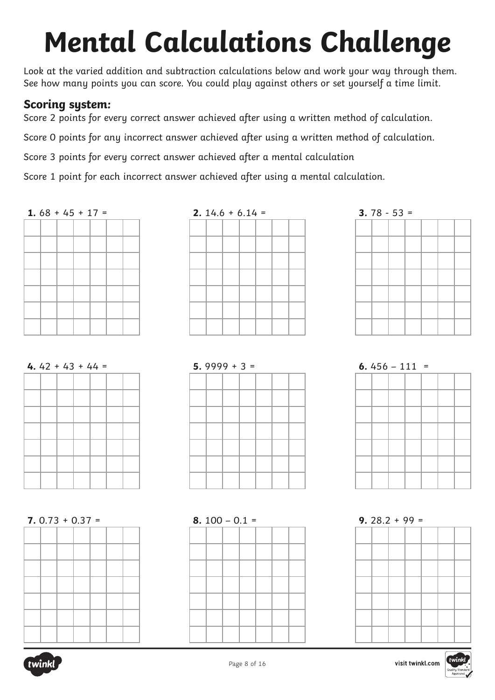# **Mental Calculations Challenge**

Look at the varied addition and subtraction calculations below and work your way through them. See how many points you can score. You could play against others or set yourself a time limit.

### **Scoring system:**

Score 2 points for every correct answer achieved after using a written method of calculation.

Score 0 points for any incorrect answer achieved after using a written method of calculation.

Score 3 points for every correct answer achieved after a mental calculation

Score 1 point for each incorrect answer achieved after using a mental calculation.



| 2. $14.6 + 6.14 =$ |  |  |  |  |  |  |  |  |  |
|--------------------|--|--|--|--|--|--|--|--|--|
|                    |  |  |  |  |  |  |  |  |  |
|                    |  |  |  |  |  |  |  |  |  |
|                    |  |  |  |  |  |  |  |  |  |
|                    |  |  |  |  |  |  |  |  |  |
|                    |  |  |  |  |  |  |  |  |  |
|                    |  |  |  |  |  |  |  |  |  |
|                    |  |  |  |  |  |  |  |  |  |





| $5.9999 + 3 =$ |  |  |  |  |  |  |  |  |
|----------------|--|--|--|--|--|--|--|--|
|                |  |  |  |  |  |  |  |  |
|                |  |  |  |  |  |  |  |  |
|                |  |  |  |  |  |  |  |  |
|                |  |  |  |  |  |  |  |  |
|                |  |  |  |  |  |  |  |  |
|                |  |  |  |  |  |  |  |  |
|                |  |  |  |  |  |  |  |  |
|                |  |  |  |  |  |  |  |  |







**7.** 0.73 + 0.37 =



**8.** 100 – 0.1 =

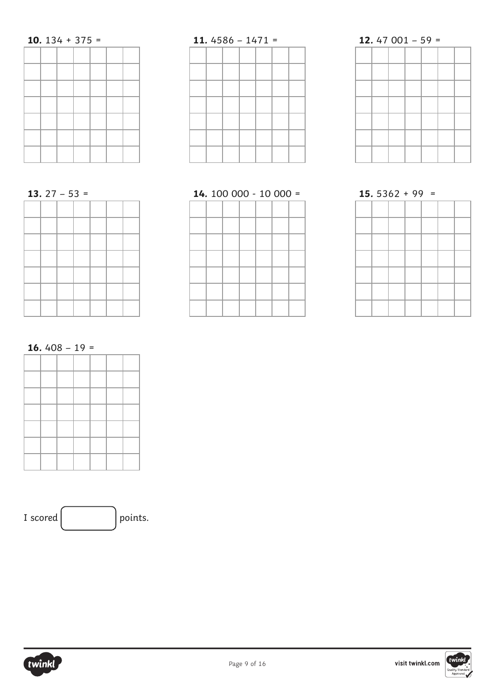### **10.** 134 + 375 =

### **11.** 4586 – 1471 =

# **12.** 47 001 – 59 =



| 14. 100 000 - 10 000 = |  |  |  |  |  |  |  |  |
|------------------------|--|--|--|--|--|--|--|--|
|                        |  |  |  |  |  |  |  |  |
|                        |  |  |  |  |  |  |  |  |
|                        |  |  |  |  |  |  |  |  |
|                        |  |  |  |  |  |  |  |  |
|                        |  |  |  |  |  |  |  |  |
|                        |  |  |  |  |  |  |  |  |
|                        |  |  |  |  |  |  |  |  |
|                        |  |  |  |  |  |  |  |  |

|  | $15.5362 + 99 =$ |  |  |
|--|------------------|--|--|
|  |                  |  |  |
|  |                  |  |  |
|  |                  |  |  |
|  |                  |  |  |
|  |                  |  |  |
|  |                  |  |  |
|  |                  |  |  |
|  |                  |  |  |

**16.** 408 – 19 =





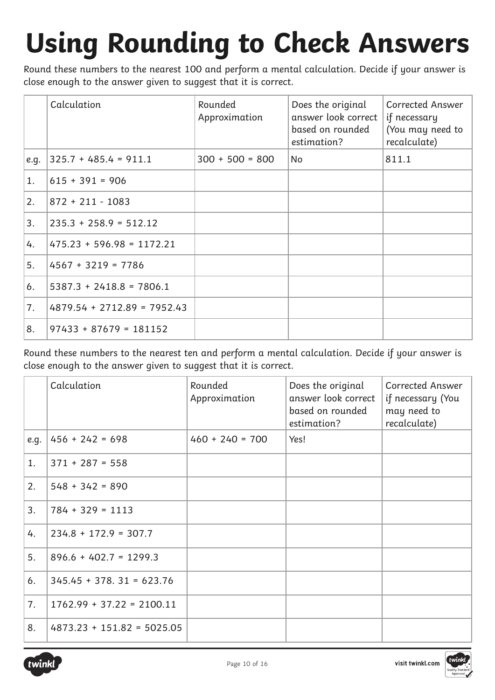# **Using Rounding to Check Answers**

Round these numbers to the nearest 100 and perform a mental calculation. Decide if your answer is close enough to the answer given to suggest that it is correct.

|      | Calculation                   | Rounded<br>Approximation | Does the original<br>answer look correct<br>based on rounded<br>estimation? | <b>Corrected Answer</b><br>if necessary<br>(You may need to<br>recalculate) |
|------|-------------------------------|--------------------------|-----------------------------------------------------------------------------|-----------------------------------------------------------------------------|
| e.g. | $ 325.7 + 485.4 = 911.1$      | $300 + 500 = 800$        | No                                                                          | 811.1                                                                       |
| 1.   | $615 + 391 = 906$             |                          |                                                                             |                                                                             |
| 2.   | $872 + 211 - 1083$            |                          |                                                                             |                                                                             |
| 3.   | $235.3 + 258.9 = 512.12$      |                          |                                                                             |                                                                             |
| 4.   | $475.23 + 596.98 = 1172.21$   |                          |                                                                             |                                                                             |
| 5.   | $4567 + 3219 = 7786$          |                          |                                                                             |                                                                             |
| 6.   | $5387.3 + 2418.8 = 7806.1$    |                          |                                                                             |                                                                             |
| 7.   | $4879.54 + 2712.89 = 7952.43$ |                          |                                                                             |                                                                             |
| 8.   | $97433 + 87679 = 181152$      |                          |                                                                             |                                                                             |

Round these numbers to the nearest ten and perform a mental calculation. Decide if your answer is close enough to the answer given to suggest that it is correct.

|      | Calculation                  | Rounded<br>Approximation | Does the original<br>answer look correct<br>based on rounded<br>estimation? | Corrected Answer<br>if necessary (You<br>may need to<br>recalculate) |
|------|------------------------------|--------------------------|-----------------------------------------------------------------------------|----------------------------------------------------------------------|
| e.g. | $456 + 242 = 698$            | $460 + 240 = 700$        | Yes!                                                                        |                                                                      |
| 1.   | $371 + 287 = 558$            |                          |                                                                             |                                                                      |
| 2.   | $548 + 342 = 890$            |                          |                                                                             |                                                                      |
| 3.   | $784 + 329 = 1113$           |                          |                                                                             |                                                                      |
| 4.   | $234.8 + 172.9 = 307.7$      |                          |                                                                             |                                                                      |
| 5.   | $896.6 + 402.7 = 1299.3$     |                          |                                                                             |                                                                      |
| 6.   | $345.45 + 378.31 = 623.76$   |                          |                                                                             |                                                                      |
| 7.   | $1762.99 + 37.22 = 2100.11$  |                          |                                                                             |                                                                      |
| 8.   | $4873.23 + 151.82 = 5025.05$ |                          |                                                                             |                                                                      |

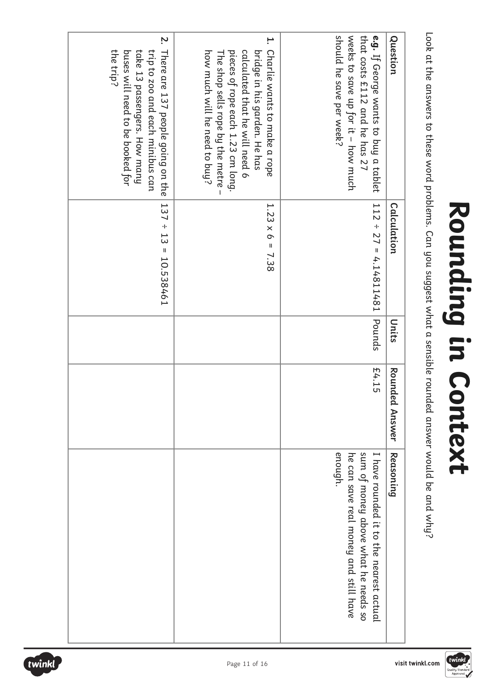Look at the answers to these word problems. Can you suggest what a sensible rounded answer would be and why? Look at the answers to these word problems. Can you suggest what a sensible rounded answer would be and why?

| Question                                                                                                                                                                                                      | Calculation                | Units  | Rounded<br>Answer | Reasoning                                                                                                                         |
|---------------------------------------------------------------------------------------------------------------------------------------------------------------------------------------------------------------|----------------------------|--------|-------------------|-----------------------------------------------------------------------------------------------------------------------------------|
| weeks to save up for it - how much<br>that costs £112 and he has 27<br>should he save per week?<br>e.g. If George wants to buy a tablet                                                                       | $112 \div 27 = 4.14811481$ | Pounds | £4.15             | sum of money above what he needs so<br>enough.<br>I have routed it to the nearest actual<br>he can save real money and still have |
| 1. Charlie watts to make a rope<br>calculated that he will need 6<br>bridge in his garden. He has<br>pieces of rope each 1.23 cm long.<br>how much will he need to buy?<br>The shop sells rope by the metre – | $1.23 \times 6 = 7.38$     |        |                   |                                                                                                                                   |
| 2.<br>There are 137 people going on the<br>buses will need to be booked for<br>trip to zoo and each minibus can<br>the trip?<br>take 13 passengers. How many                                                  | $137 \div 13 = 10.538461$  |        |                   |                                                                                                                                   |





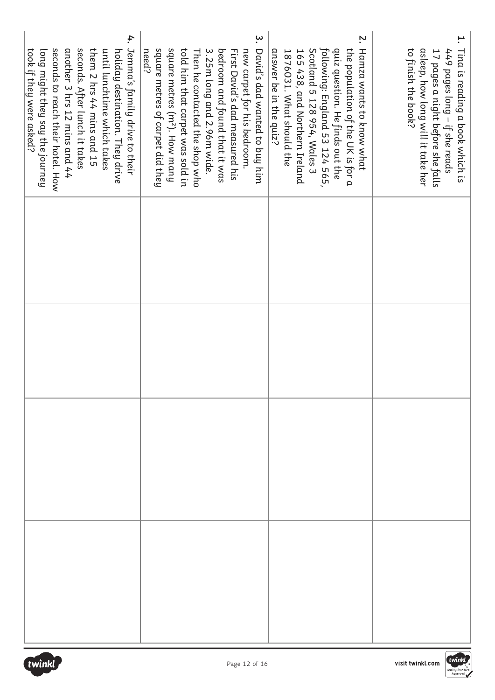| 4.                                                                                                                                                                                                  | $\ddot{\bm{z}}$                                                                                                                                                                                                                                                                                                      | Z.                                                                                                                                                                                                 | ۳.                                                                                                                                         |
|-----------------------------------------------------------------------------------------------------------------------------------------------------------------------------------------------------|----------------------------------------------------------------------------------------------------------------------------------------------------------------------------------------------------------------------------------------------------------------------------------------------------------------------|----------------------------------------------------------------------------------------------------------------------------------------------------------------------------------------------------|--------------------------------------------------------------------------------------------------------------------------------------------|
|                                                                                                                                                                                                     | need?                                                                                                                                                                                                                                                                                                                |                                                                                                                                                                                                    |                                                                                                                                            |
|                                                                                                                                                                                                     |                                                                                                                                                                                                                                                                                                                      |                                                                                                                                                                                                    |                                                                                                                                            |
|                                                                                                                                                                                                     |                                                                                                                                                                                                                                                                                                                      | answer be in the quiz?                                                                                                                                                                             | to finish the book?                                                                                                                        |
|                                                                                                                                                                                                     |                                                                                                                                                                                                                                                                                                                      |                                                                                                                                                                                                    |                                                                                                                                            |
| them 2 hrs 44 mins and 15<br>took if they were asked?                                                                                                                                               |                                                                                                                                                                                                                                                                                                                      | 1876031. What should the                                                                                                                                                                           |                                                                                                                                            |
| seconds. After lunch it takes<br>Jemma's family drive to their<br>another 3 hrs 12 mins and 44<br>hong might they say the journey<br>until lunchtime which takes<br>holiday destination. They drive | square metres (m <sup>2</sup> ). How many<br>David's dad wanted to buy him<br>square metres of carpet did they<br>told him that carpet was sold in<br>bedroom and found that it was<br>First David's dad measured his<br>3.25m long and 2.96m wide.<br>new carpet for his bedroom.<br>Then he contacted the shop who | following: England 53 124 565,<br>the population of the UK is for a<br>quiz question. He finds out the<br>Hamza wants to know what<br>Scotland 5 128 954, Wales 3<br>165 438, and Northern Ireland | Tina is reading a book which is<br>asleep, how long will it take her<br>449 pages long – if she reads<br>17 pages a night before she falls |
| seconds to reach their hotel. How                                                                                                                                                                   |                                                                                                                                                                                                                                                                                                                      |                                                                                                                                                                                                    |                                                                                                                                            |
|                                                                                                                                                                                                     |                                                                                                                                                                                                                                                                                                                      |                                                                                                                                                                                                    |                                                                                                                                            |
|                                                                                                                                                                                                     |                                                                                                                                                                                                                                                                                                                      |                                                                                                                                                                                                    |                                                                                                                                            |
|                                                                                                                                                                                                     |                                                                                                                                                                                                                                                                                                                      |                                                                                                                                                                                                    |                                                                                                                                            |
|                                                                                                                                                                                                     |                                                                                                                                                                                                                                                                                                                      |                                                                                                                                                                                                    |                                                                                                                                            |
|                                                                                                                                                                                                     |                                                                                                                                                                                                                                                                                                                      |                                                                                                                                                                                                    |                                                                                                                                            |
|                                                                                                                                                                                                     |                                                                                                                                                                                                                                                                                                                      |                                                                                                                                                                                                    |                                                                                                                                            |
|                                                                                                                                                                                                     |                                                                                                                                                                                                                                                                                                                      |                                                                                                                                                                                                    |                                                                                                                                            |
|                                                                                                                                                                                                     |                                                                                                                                                                                                                                                                                                                      |                                                                                                                                                                                                    |                                                                                                                                            |
|                                                                                                                                                                                                     |                                                                                                                                                                                                                                                                                                                      |                                                                                                                                                                                                    |                                                                                                                                            |
|                                                                                                                                                                                                     |                                                                                                                                                                                                                                                                                                                      |                                                                                                                                                                                                    |                                                                                                                                            |
|                                                                                                                                                                                                     |                                                                                                                                                                                                                                                                                                                      |                                                                                                                                                                                                    |                                                                                                                                            |
|                                                                                                                                                                                                     |                                                                                                                                                                                                                                                                                                                      |                                                                                                                                                                                                    |                                                                                                                                            |
|                                                                                                                                                                                                     |                                                                                                                                                                                                                                                                                                                      |                                                                                                                                                                                                    |                                                                                                                                            |
|                                                                                                                                                                                                     |                                                                                                                                                                                                                                                                                                                      |                                                                                                                                                                                                    |                                                                                                                                            |
|                                                                                                                                                                                                     |                                                                                                                                                                                                                                                                                                                      |                                                                                                                                                                                                    |                                                                                                                                            |
|                                                                                                                                                                                                     |                                                                                                                                                                                                                                                                                                                      |                                                                                                                                                                                                    |                                                                                                                                            |
|                                                                                                                                                                                                     |                                                                                                                                                                                                                                                                                                                      |                                                                                                                                                                                                    |                                                                                                                                            |
|                                                                                                                                                                                                     |                                                                                                                                                                                                                                                                                                                      |                                                                                                                                                                                                    |                                                                                                                                            |
|                                                                                                                                                                                                     |                                                                                                                                                                                                                                                                                                                      |                                                                                                                                                                                                    |                                                                                                                                            |
|                                                                                                                                                                                                     |                                                                                                                                                                                                                                                                                                                      |                                                                                                                                                                                                    |                                                                                                                                            |
|                                                                                                                                                                                                     |                                                                                                                                                                                                                                                                                                                      |                                                                                                                                                                                                    |                                                                                                                                            |

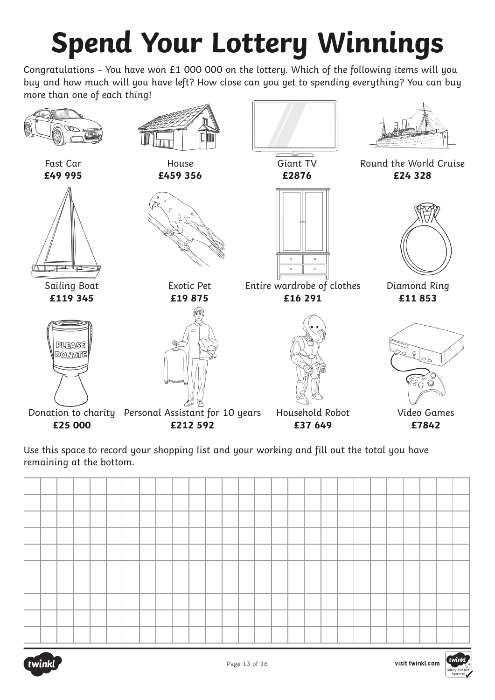# **Spend Your Lottery Winnings**

Congratulations – You have won £1 000 000 on the lottery. Which of the following items will you buy and how much will you have left? How close can you get to spending everything? You can buy more than one of each thing!



Use this space to record your shopping list and your working and fill out the total you have remaining at the bottom.



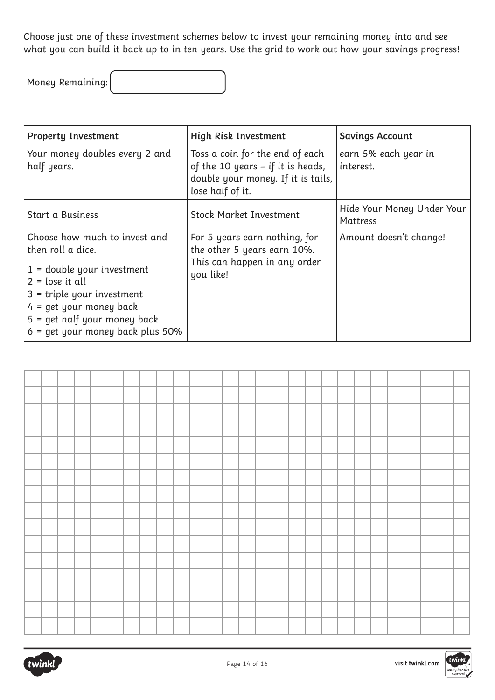Choose just one of these investment schemes below to invest your remaining money into and see what you can build it back up to in ten years. Use the grid to work out how your savings progress!

Money Remaining:

| <b>Property Investment</b>                                                                                                                                                                                                                   | High Risk Investment                                                                                                             | <b>Savings Account</b>                 |
|----------------------------------------------------------------------------------------------------------------------------------------------------------------------------------------------------------------------------------------------|----------------------------------------------------------------------------------------------------------------------------------|----------------------------------------|
| Your money doubles every 2 and<br>half years.                                                                                                                                                                                                | Toss a coin for the end of each<br>of the 10 years $-$ if it is heads,<br>double your money. If it is tails,<br>lose half of it. | earn 5% each year in<br>interest.      |
| Start a Business                                                                                                                                                                                                                             | <b>Stock Market Investment</b>                                                                                                   | Hide Your Money Under Your<br>Mattress |
| Choose how much to invest and<br>then roll a dice.<br>$1 =$ double your investment<br>$2 =$ lose it all<br>$3$ = triple your investment<br>$4 = qet$ your money back<br>$5 =$ qet half your money back<br>$6$ = qet your money back plus 50% | For 5 years earn nothing, for<br>the other 5 years earn 10%.<br>This can happen in any order<br>you like!                        | Amount doesn't change!                 |



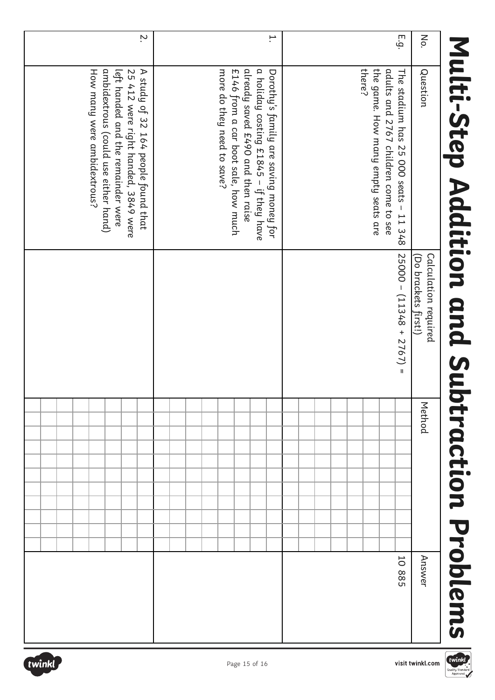# Multi-Step Addition and Subtraction Problems **Multi-Step Addition and Subtraction Problems**

| No.            | Question                                                                                                                                                                                  | Calculation required<br>(Do brackets first!) | Method | Answer |
|----------------|-------------------------------------------------------------------------------------------------------------------------------------------------------------------------------------------|----------------------------------------------|--------|--------|
| E.g.           | there?<br>the game. How many empty seats are<br>adults and 2767 children come to see<br>The stadium has 25 000 seats - 11 348                                                             | $25000 - (11348 + 2767) =$                   |        | 10 885 |
|                |                                                                                                                                                                                           |                                              |        |        |
| ∺.             | already saved £490 and then raise<br>a holiday costing £1845 – if they have<br>more do they need to save?<br>£146 from a car boot sale, how much<br>Dorothy's family are saving money for |                                              |        |        |
| $\ddot{\cdot}$ | A study of 32 164 people found that<br>How many were ambidextrous?<br>ambidextrous (could use either hand)<br>left handed and the remainder were<br>25 412 were right handed, 3849 were   |                                              |        |        |